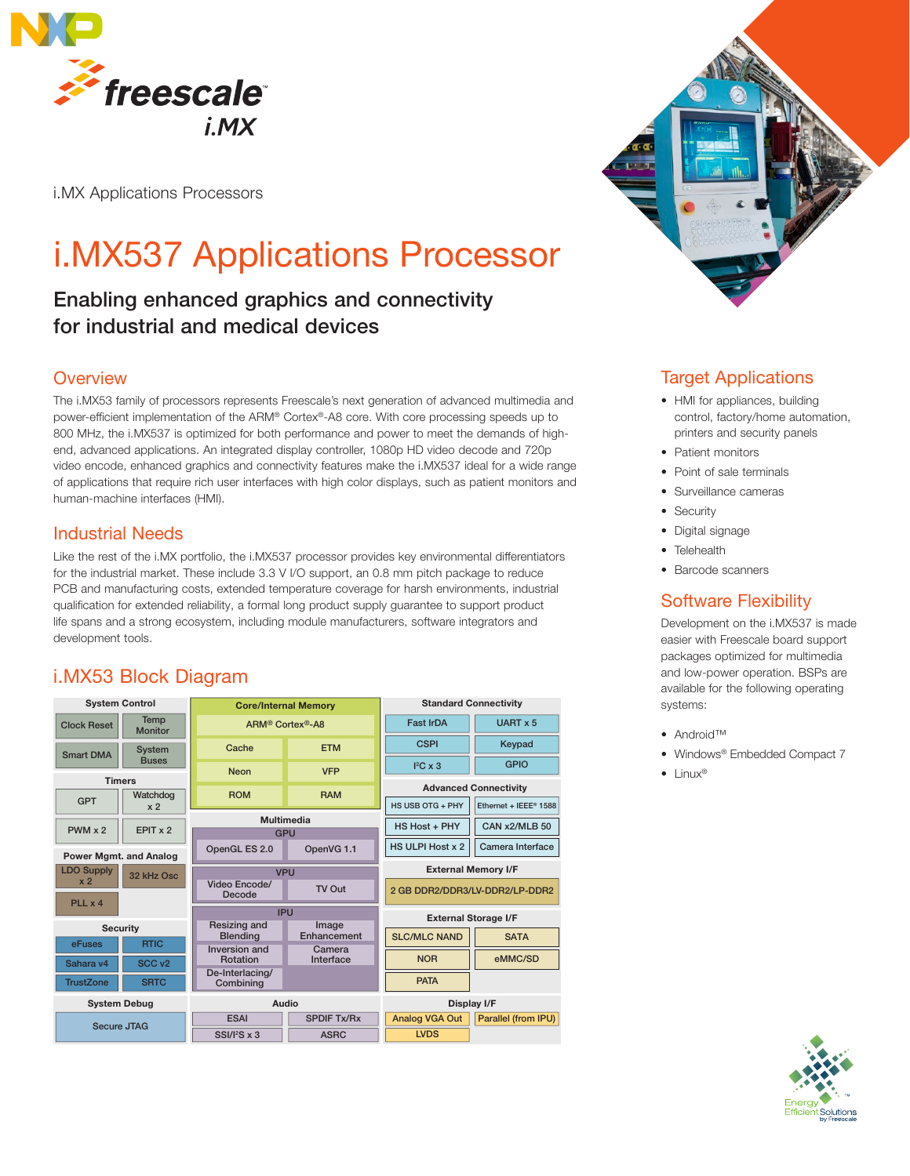

i.MX Applications Processors

# i.MX537 Applications Processor

# Enabling enhanced graphics and connectivity for industrial and medical devices

## **Overview**

The i.MX53 family of processors represents Freescale's next generation of advanced multimedia and power-efficient implementation of the ARM® Cortex®-A8 core. With core processing speeds up to 800 MHz, the i.MX537 is optimized for both performance and power to meet the demands of highend, advanced applications. An integrated display controller, 1080p HD video decode and 720p video encode, enhanced graphics and connectivity features make the i.MX537 ideal for a wide range of applications that require rich user interfaces with high color displays, such as patient monitors and human-machine interfaces (HMI).

## Industrial Needs

Like the rest of the i.MX portfolio, the i.MX537 processor provides key environmental differentiators for the industrial market. These include 3.3 V I/O support, an 0.8 mm pitch package to reduce PCB and manufacturing costs, extended temperature coverage for harsh environments, industrial qualification for extended reliability, a formal long product supply guarantee to support product life spans and a strong ecosystem, including module manufacturers, software integrators and development tools.

## i.MX53 Block Diagram

| <b>System Control</b>           |                            | <b>Core/Internal Memory</b>              |                      | <b>Standard Connectivity</b>   |                       |
|---------------------------------|----------------------------|------------------------------------------|----------------------|--------------------------------|-----------------------|
| <b>Clock Reset</b>              | Temp<br><b>Monitor</b>     | ARM <sup>®</sup> Cortex <sup>®</sup> -A8 |                      | <b>Fast IrDA</b><br>UART x 5   |                       |
| <b>Smart DMA</b>                | <b>System</b>              | Cache                                    | <b>ETM</b>           | <b>CSPI</b>                    | Keypad                |
|                                 | <b>Buses</b>               | <b>Neon</b>                              | <b>VFP</b>           | $I^2C \times 3$                | <b>GPIO</b>           |
| <b>Timers</b>                   |                            |                                          |                      | <b>Advanced Connectivity</b>   |                       |
| <b>GPT</b>                      | Watchdog<br>x <sub>2</sub> | <b>ROM</b>                               | <b>RAM</b>           | HS USB OTG + PHY               | Ethernet + IEEE® 1588 |
|                                 |                            | Multimedia                               |                      |                                |                       |
| $PWM \times 2$                  | EPIT x 2                   | <b>GPU</b>                               |                      | HS Host + PHY                  | CAN x2/MLB 50         |
| <b>Power Mgmt. and Analog</b>   |                            | OpenGL ES 2.0                            | OpenVG 1.1           | <b>HS ULPI Host x 2</b>        | Camera Interface      |
| <b>LDO Supply</b><br>32 kHz Osc |                            | <b>VPU</b>                               |                      | <b>External Memory I/F</b>     |                       |
| x <sub>2</sub>                  |                            | Video Encode/<br>Decode                  | TV Out               | 2 GB DDR2/DDR3/LV-DDR2/LP-DDR2 |                       |
| PLL x 4                         |                            |                                          |                      |                                |                       |
|                                 |                            | <b>IPU</b>                               |                      | <b>External Storage I/F</b>    |                       |
| <b>Security</b>                 |                            | Resizing and<br><b>Blending</b>          | Image<br>Enhancement | <b>SLC/MLC NAND</b>            | <b>SATA</b>           |
| eFuses                          | <b>RTIC</b>                | Inversion and                            | Camera               |                                |                       |
| Sahara v4                       | SCC <sub>v2</sub>          | Rotation                                 | Interface            | <b>NOR</b>                     | eMMC/SD               |
| <b>TrustZone</b>                | <b>SRTC</b>                | De-Interlacing/<br>Combining             |                      | <b>PATA</b>                    |                       |
| <b>System Debug</b>             |                            | Audio                                    |                      | Display I/F                    |                       |
| <b>Secure JTAG</b>              |                            | <b>ESAI</b>                              | <b>SPDIF Tx/Rx</b>   | <b>Analog VGA Out</b>          | Parallel (from IPU)   |
|                                 |                            | $SSI/I2S \times 3$                       | <b>ASRC</b>          | <b>LVDS</b>                    |                       |



## Target Applications

- HMI for appliances, building control, factory/home automation, printers and security panels
- Patient monitors
- Point of sale terminals
- Surveillance cameras
- Security
- Digital signage
- Telehealth
- Barcode scanners

## Software Flexibility

Development on the i.MX537 is made easier with Freescale board support packages optimized for multimedia and low-power operation. BSPs are available for the following operating systems:

- Android™
- Windows® Embedded Compact 7
- Linux®